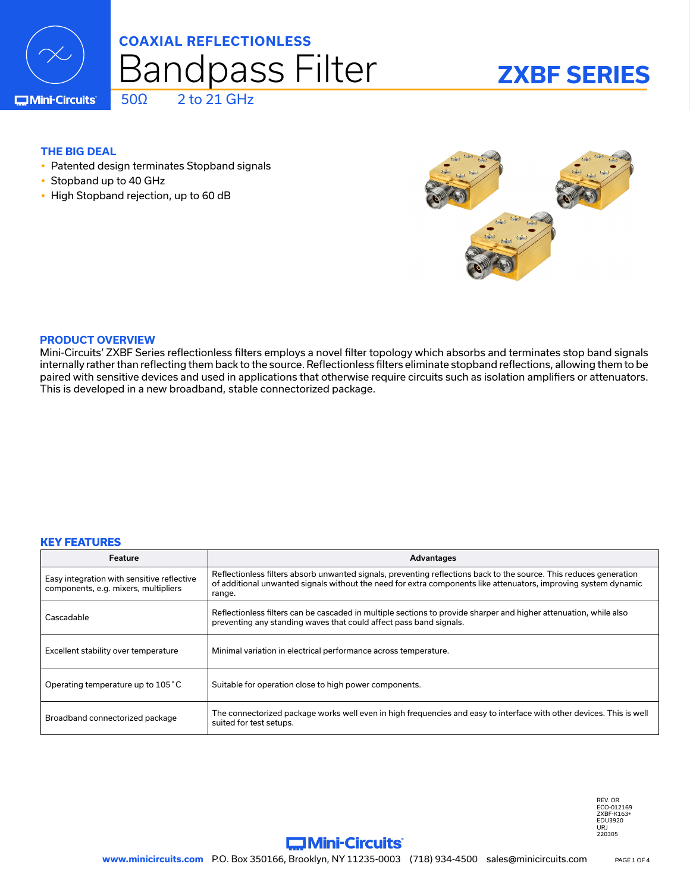

## Bandpass Filter **COAXIAL REFLECTIONLESS**

### **ZXBF SERIES**

**C**Mini-Circuits

#### **THE BIG DEAL**

• Patented design terminates Stopband signals

 $50\Omega$  2 to 21 GHz

- Stopband up to 40 GHz
- High Stopband rejection, up to 60 dB



#### **PRODUCT OVERVIEW**

Mini-Circuits' ZXBF Series reflectionless filters employs a novel filter topology which absorbs and terminates stop band signals internally rather than reflecting them back to the source. Reflectionless filters eliminate stopband reflections, allowing them to be paired with sensitive devices and used in applications that otherwise require circuits such as isolation amplifiers or attenuators. This is developed in a new broadband, stable connectorized package.

#### **KEY FEATURES**

| Feature                                                                            | Advantages                                                                                                                                                                                                                                      |
|------------------------------------------------------------------------------------|-------------------------------------------------------------------------------------------------------------------------------------------------------------------------------------------------------------------------------------------------|
| Easy integration with sensitive reflective<br>components, e.g. mixers, multipliers | Reflectionless filters absorb unwanted signals, preventing reflections back to the source. This reduces generation<br>of additional unwanted signals without the need for extra components like attenuators, improving system dynamic<br>range. |
| Cascadable                                                                         | Reflectionless filters can be cascaded in multiple sections to provide sharper and higher attenuation, while also<br>preventing any standing waves that could affect pass band signals.                                                         |
| Excellent stability over temperature                                               | Minimal variation in electrical performance across temperature.                                                                                                                                                                                 |
| Operating temperature up to 105 °C                                                 | Suitable for operation close to high power components.                                                                                                                                                                                          |
| Broadband connectorized package                                                    | The connectorized package works well even in high frequencies and easy to interface with other devices. This is well<br>suited for test setups.                                                                                                 |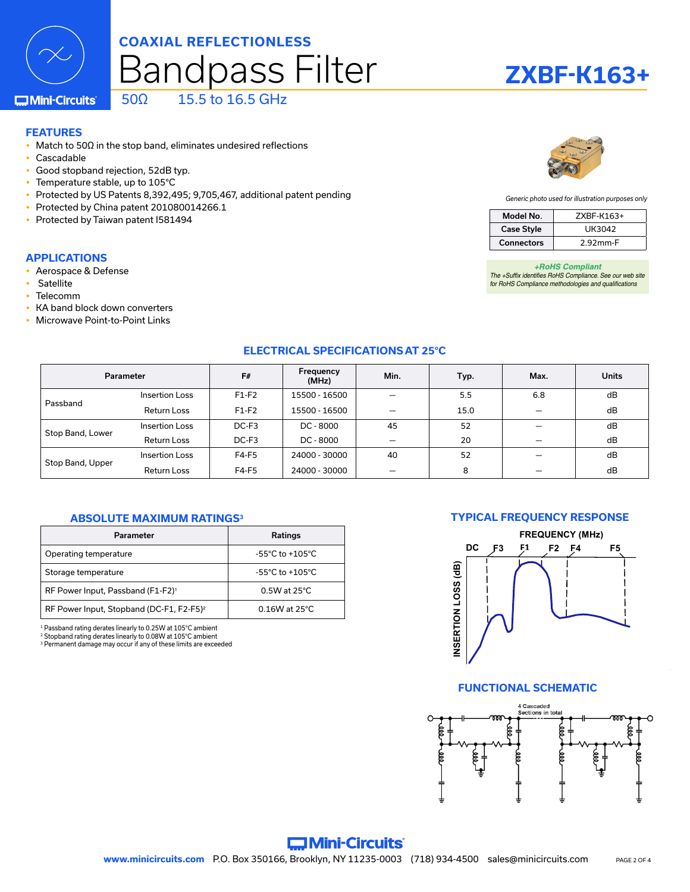### Bandpass Filter **COAXIAL REFLECTIONLESS**

### **ZXBF-K163+**

*+RoHS Compliant The +Suffix identifies RoHS Compliance. See our web site for RoHS Compliance methodologies and qualifications*

Model No. ZXBF-K163+ Case Style | UK3042 Connectors 2.92mm-F

*Generic photo used for illustration purposes only*

**C**Mini-Circuits

#### 50Ω 15.5 to 16.5 GHz

#### **FEATURES**

- Match to 50 $\Omega$  in the stop band, eliminates undesired reflections
- Cascadable
- Good stopband rejection, 52dB typ.
- Temperature stable, up to 105°C
- Protected by US Patents 8,392,495; 9,705,467, additional patent pending
- Protected by China patent 201080014266.1
- Protected by Taiwan patent I581494

#### **APPLICATIONS**

- Aerospace & Defense
- Satellite
- Telecomm
- KA band block down converters
- Microwave Point-to-Point Links

#### **ELECTRICAL SPECIFICATIONS AT 25°C**

| Parameter        |                       | F#      | Frequency<br>(MHz) | Min. | Typ. | Max. | <b>Units</b> |
|------------------|-----------------------|---------|--------------------|------|------|------|--------------|
| Passband         | <b>Insertion Loss</b> | $F1-F2$ | 15500 - 16500      |      | 5.5  | 6.8  | dB           |
|                  | Return Loss           | $F1-F2$ | 15500 - 16500      |      | 15.0 |      | dB           |
| Stop Band, Lower | <b>Insertion Loss</b> | DC-F3   | DC - 8000          | 45   | 52   |      | dB           |
|                  | <b>Return Loss</b>    | DC-F3   | DC - 8000          |      | 20   |      | dB           |
| Stop Band, Upper | <b>Insertion Loss</b> | $F4-F5$ | 24000 - 30000      | 40   | 52   |      | dB           |
|                  | <b>Return Loss</b>    | F4-F5   | 24000 - 30000      |      | 8    |      | dB           |

#### **ABSOLUTE MAXIMUM RATINGS3**

| Parameter                                            | Ratings                             |  |  |
|------------------------------------------------------|-------------------------------------|--|--|
| Operating temperature                                | $-55^{\circ}$ C to $+105^{\circ}$ C |  |  |
| Storage temperature                                  | $-55^{\circ}$ C to $+105^{\circ}$ C |  |  |
| RF Power Input, Passband (F1-F2) <sup>1</sup>        | $0.5W$ at 25 $°C$                   |  |  |
| RF Power Input, Stopband (DC-F1, F2-F5) <sup>2</sup> | $0.16W$ at 25°C.                    |  |  |

1 Passband rating derates linearly to 0.25W at 105°C ambient

2 Stopband rating derates linearly to 0.08W at 105°C ambient

<sup>3</sup> Permanent damage may occur if any of these limits are exceeded

#### **TYPICAL FREQUENCY RESPONSE**



#### **FUNCTIONAL SCHEMATIC**

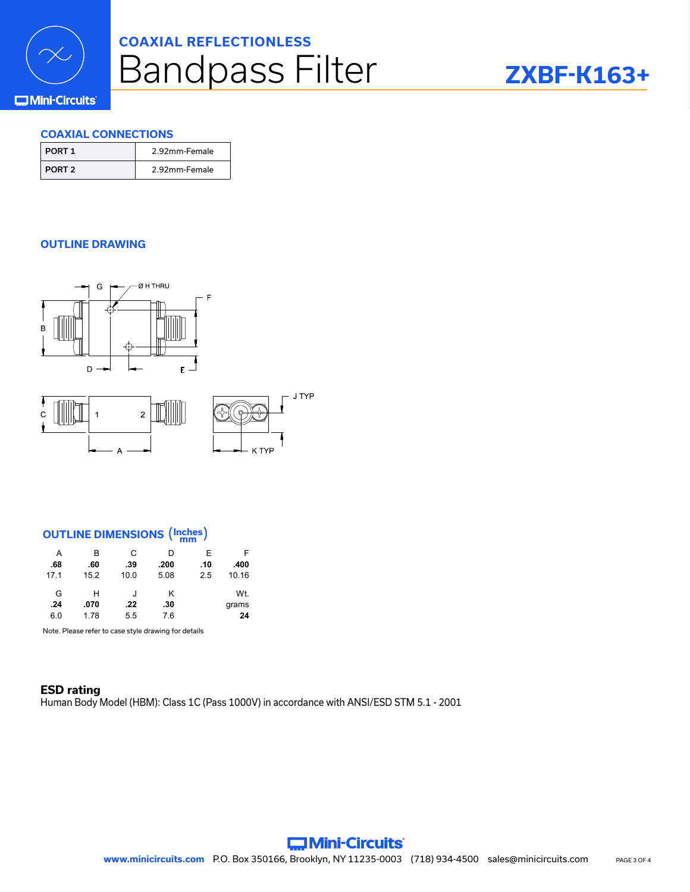

### Bandpass Filter **COAXIAL REFLECTIONLESS**

### **ZXBF-K163+**

#### **COMini-Circuits**

#### **COAXIAL CONNECTIONS**

| PORT 1   | 2.92mm-Female |
|----------|---------------|
| I PORT 2 | 2.92mm-Female |

#### **OUTLINE DRAWING**



### **OUTLINE DIMENSIONS** (**Inches mm** )

 $\Delta$ 

| A    | в    | C    | D    | F   | F     |
|------|------|------|------|-----|-------|
| .68  | .60  | .39  | .200 | .10 | .400  |
| 17.1 | 15.2 | 10.0 | 5.08 | 2.5 | 10.16 |
| G    | н    | J    | κ    |     | Wt.   |
| .24  | .070 | .22  | .30  |     | grams |
| 6.0  | 1.78 | 5.5  | 7.6  |     | 24    |

Note. Please refer to case style drawing for details

#### **ESD rating** Human Body Model (HBM): Class 1C (Pass 1000V) in accordance with ANSI/ESD STM 5.1 - 2001